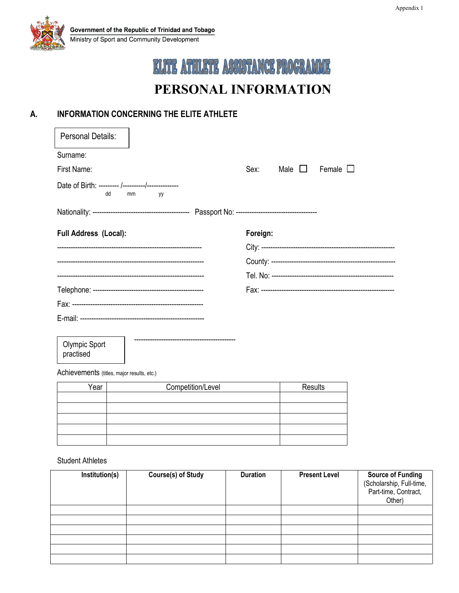

# ELITE ATHLETE ASSISTANCE PROGRAMME **PERSONAL INFORMATION**

### **A. INFORMATION CONCERNING THE ELITE ATHLETE**

| <b>Personal Details:</b>     |          |          |                      |                  |
|------------------------------|----------|----------|----------------------|------------------|
| Surname:                     |          |          |                      |                  |
| First Name:                  |          | Sex:     | Male $\,\bigsqcup\,$ | Female $\square$ |
| dd                           | mm<br>yy |          |                      |                  |
|                              |          |          |                      |                  |
| <b>Full Address (Local):</b> |          | Foreign: |                      |                  |
|                              |          |          |                      |                  |
|                              |          |          |                      |                  |
|                              |          |          |                      |                  |
|                              |          |          |                      |                  |
|                              |          |          |                      |                  |
|                              |          |          |                      |                  |

 --------------------------------------------- Olympic Sport practised

Achievements (titles, major results, etc.)

| 'ear | Competition/Level | Results |
|------|-------------------|---------|
|      |                   |         |
|      |                   |         |
|      |                   |         |
|      |                   |         |
|      |                   |         |

Student Athletes

| Institution(s) | <b>Course(s) of Study</b> | <b>Duration</b> | <b>Present Level</b> | <b>Source of Funding</b><br>(Scholarship, Full-time,<br>Part-time, Contract,<br>Other) |
|----------------|---------------------------|-----------------|----------------------|----------------------------------------------------------------------------------------|
|                |                           |                 |                      |                                                                                        |
|                |                           |                 |                      |                                                                                        |
|                |                           |                 |                      |                                                                                        |
|                |                           |                 |                      |                                                                                        |
|                |                           |                 |                      |                                                                                        |
|                |                           |                 |                      |                                                                                        |